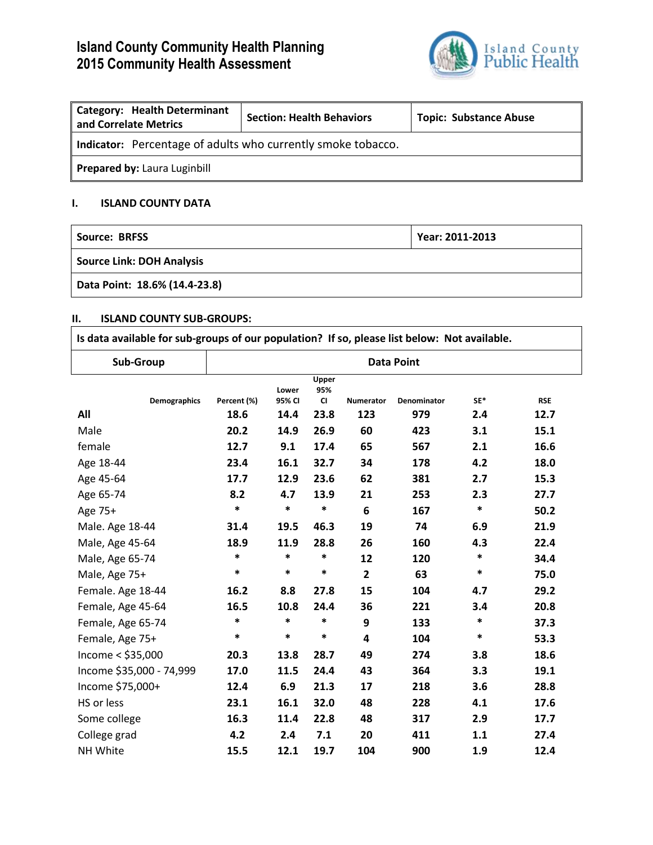# **Island County Community Health Planning 2015 Community Health Assessment**



| <b>Category: Health Determinant</b><br>and Correlate Metrics | <b>Section: Health Behaviors</b> | <b>Topic: Substance Abuse</b> |  |  |  |  |
|--------------------------------------------------------------|----------------------------------|-------------------------------|--|--|--|--|
| Indicator: Percentage of adults who currently smoke tobacco. |                                  |                               |  |  |  |  |
| Prepared by: Laura Luginbill                                 |                                  |                               |  |  |  |  |

## **I. ISLAND COUNTY DATA**

| Source: BRFSS                    | Year: 2011-2013 |  |  |  |  |
|----------------------------------|-----------------|--|--|--|--|
| <b>Source Link: DOH Analysis</b> |                 |  |  |  |  |
| Data Point: 18.6% (14.4-23.8)    |                 |  |  |  |  |

## **II. ISLAND COUNTY SUB-GROUPS:**

| Is data available for sub-groups of our population? If so, please list below: Not available. |                   |                 |                           |                         |                    |        |            |
|----------------------------------------------------------------------------------------------|-------------------|-----------------|---------------------------|-------------------------|--------------------|--------|------------|
| Sub-Group                                                                                    | <b>Data Point</b> |                 |                           |                         |                    |        |            |
| <b>Demographics</b>                                                                          | Percent (%)       | Lower<br>95% CI | Upper<br>95%<br><b>CI</b> | <b>Numerator</b>        | <b>Denominator</b> | SE*    | <b>RSE</b> |
| All                                                                                          | 18.6              | 14.4            | 23.8                      | 123                     | 979                | 2.4    | 12.7       |
| Male                                                                                         | 20.2              | 14.9            | 26.9                      | 60                      | 423                | 3.1    | 15.1       |
| female                                                                                       | 12.7              | 9.1             | 17.4                      | 65                      | 567                | 2.1    | 16.6       |
| Age 18-44                                                                                    | 23.4              | 16.1            | 32.7                      | 34                      | 178                | 4.2    | 18.0       |
| Age 45-64                                                                                    | 17.7              | 12.9            | 23.6                      | 62                      | 381                | 2.7    | 15.3       |
| Age 65-74                                                                                    | 8.2               | 4.7             | 13.9                      | 21                      | 253                | 2.3    | 27.7       |
| Age 75+                                                                                      | $\ast$            | $\ast$          | $\ast$                    | 6                       | 167                | $\ast$ | 50.2       |
| Male. Age 18-44                                                                              | 31.4              | 19.5            | 46.3                      | 19                      | 74                 | 6.9    | 21.9       |
| Male, Age 45-64                                                                              | 18.9              | 11.9            | 28.8                      | 26                      | 160                | 4.3    | 22.4       |
| Male, Age 65-74                                                                              | *                 | *               | *                         | 12                      | 120                | *      | 34.4       |
| Male, Age 75+                                                                                | *                 | $\ast$          | $\ast$                    | $\overline{2}$          | 63                 | $\ast$ | 75.0       |
| Female. Age 18-44                                                                            | 16.2              | 8.8             | 27.8                      | 15                      | 104                | 4.7    | 29.2       |
| Female, Age 45-64                                                                            | 16.5              | 10.8            | 24.4                      | 36                      | 221                | 3.4    | 20.8       |
| Female, Age 65-74                                                                            | *                 | $\ast$          | *                         | 9                       | 133                | $\ast$ | 37.3       |
| Female, Age 75+                                                                              | $\ast$            | $\ast$          | $\ast$                    | $\overline{\mathbf{4}}$ | 104                | *      | 53.3       |
| Income $<$ \$35,000                                                                          | 20.3              | 13.8            | 28.7                      | 49                      | 274                | 3.8    | 18.6       |
| Income \$35,000 - 74,999                                                                     | 17.0              | 11.5            | 24.4                      | 43                      | 364                | 3.3    | 19.1       |
| Income \$75,000+                                                                             | 12.4              | 6.9             | 21.3                      | 17                      | 218                | 3.6    | 28.8       |
| HS or less                                                                                   | 23.1              | 16.1            | 32.0                      | 48                      | 228                | 4.1    | 17.6       |
| Some college                                                                                 | 16.3              | 11.4            | 22.8                      | 48                      | 317                | 2.9    | 17.7       |
| College grad                                                                                 | 4.2               | 2.4             | 7.1                       | 20                      | 411                | 1.1    | 27.4       |
| NH White                                                                                     | 15.5              | 12.1            | 19.7                      | 104                     | 900                | 1.9    | 12.4       |